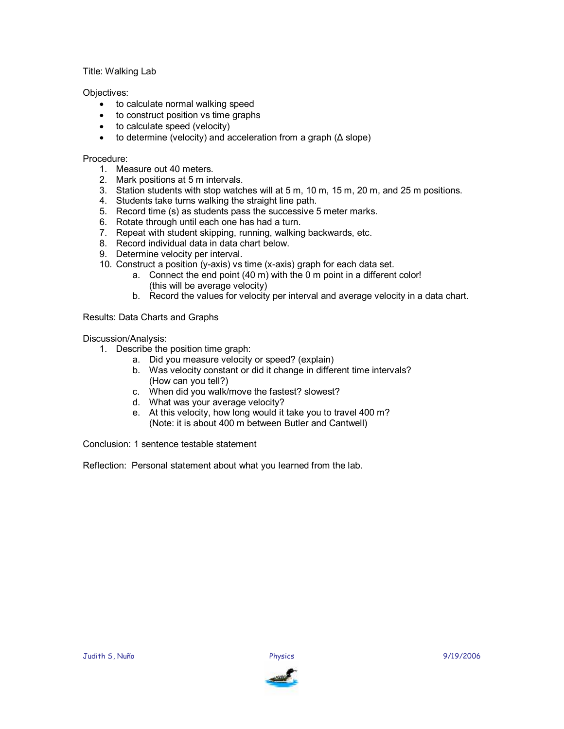## Title: Walking Lab

## Objectives:

- to calculate normal walking speed
- · to construct position vs time graphs
- · to calculate speed (velocity)
- to determine (velocity) and acceleration from a graph  $( \Delta$  slope)

## Procedure:

- 1. Measure out 40 meters.
- 2. Mark positions at 5 m intervals.
- 3. Station students with stop watches will at 5 m, 10 m, 15 m, 20 m, and 25 m positions.
- 4. Students take turns walking the straight line path.
- 5. Record time (s) as students pass the successive 5 meter marks.
- 6. Rotate through until each one has had a turn.
- 7. Repeat with student skipping, running, walking backwards, etc.
- 8. Record individual data in data chart below.
- 9. Determine velocity per interval.
- 10. Construct a position (y-axis) vs time (x-axis) graph for each data set.
	- a. Connect the end point (40 m) with the 0 m point in a different color! (this will be average velocity)
	- b. Record the values for velocity per interval and average velocity in a data chart.

Results: Data Charts and Graphs

Discussion/Analysis:

- 1. Describe the position time graph:
	- a. Did you measure velocity or speed? (explain)
		- b. Was velocity constant or did it change in different time intervals? (How can you tell?)
	- c. When did you walk/move the fastest? slowest?
	- d. What was your average velocity?
	- e. At this velocity, how long would it take you to travel 400 m? (Note: it is about 400 m between Butler and Cantwell)

Conclusion: 1 sentence testable statement

Reflection: Personal statement about what you learned from the lab.